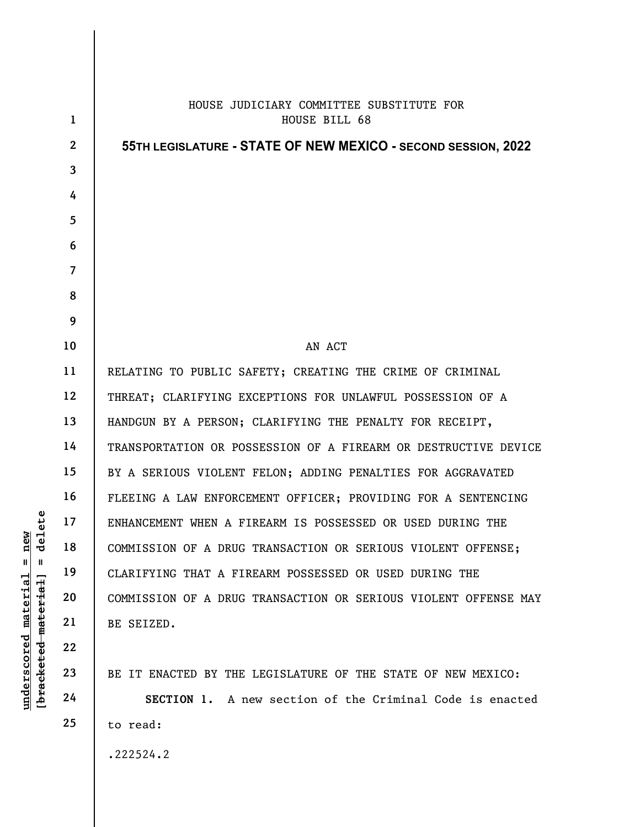|                                        | $\mathbf{1}$            | HOUSE JUDICIARY COMMITTEE SUBSTITUTE FOR<br>HOUSE BILL 68       |
|----------------------------------------|-------------------------|-----------------------------------------------------------------|
|                                        | $\mathbf{2}$            | 55TH LEGISLATURE - STATE OF NEW MEXICO - SECOND SESSION, 2022   |
|                                        | $\overline{\mathbf{3}}$ |                                                                 |
|                                        | 4                       |                                                                 |
|                                        | 5                       |                                                                 |
|                                        | 6                       |                                                                 |
|                                        | $\overline{7}$          |                                                                 |
|                                        | 8                       |                                                                 |
|                                        | 9                       |                                                                 |
|                                        | 10                      | AN ACT                                                          |
|                                        | 11                      | RELATING TO PUBLIC SAFETY; CREATING THE CRIME OF CRIMINAL       |
|                                        | 12                      | THREAT; CLARIFYING EXCEPTIONS FOR UNLAWFUL POSSESSION OF A      |
|                                        | 13                      | HANDGUN BY A PERSON; CLARIFYING THE PENALTY FOR RECEIPT,        |
|                                        | 14                      | TRANSPORTATION OR POSSESSION OF A FIREARM OR DESTRUCTIVE DEVICE |
|                                        | 15                      | BY A SERIOUS VIOLENT FELON; ADDING PENALTIES FOR AGGRAVATED     |
|                                        | 16                      | FLEEING A LAW ENFORCEMENT OFFICER; PROVIDING FOR A SENTENCING   |
| $=$ $\frac{\text{new}}{\text{delete}}$ | 17                      | ENHANCEMENT WHEN A FIREARM IS POSSESSED OR USED DURING THE      |
|                                        | 18                      | COMMISSION OF A DRUG TRANSACTION OR SERIOUS VIOLENT OFFENSE;    |
|                                        | 19                      | CLARIFYING THAT A FIREARM POSSESSED OR USED DURING THE          |
|                                        | 20                      | COMMISSION OF A DRUG TRANSACTION OR SERIOUS VIOLENT OFFENSE MAY |
|                                        | 21                      | BE SEIZED.                                                      |
|                                        | 22                      |                                                                 |
| [bracketed-material]                   | 23                      | BE IT ENACTED BY THE LEGISLATURE OF THE STATE OF NEW MEXICO:    |
| $underscored$ material                 | 24                      | SECTION 1. A new section of the Criminal Code is enacted        |
|                                        | 25                      | to read:                                                        |
|                                        |                         | .222524.2                                                       |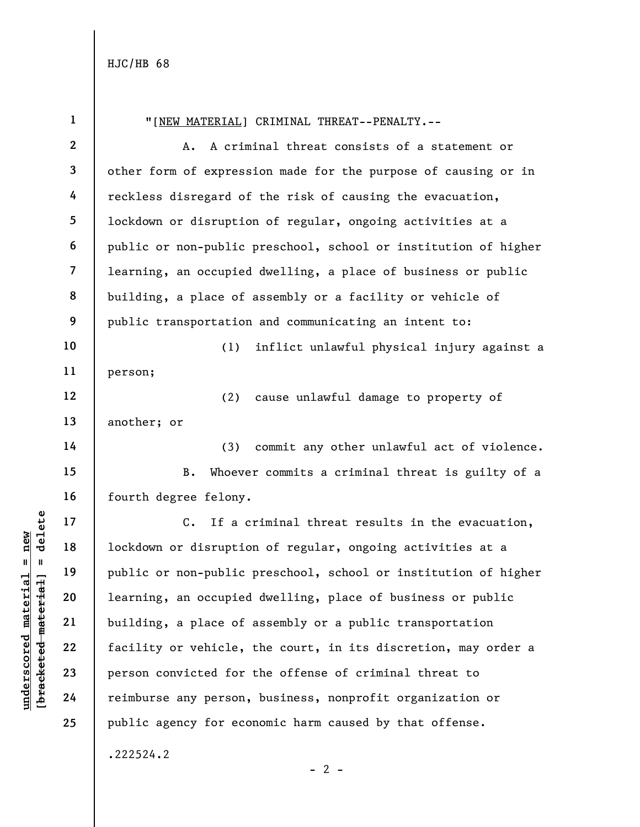underscored material = new [bracketed material] = delete 1 2 3 4 5 6 7 8 9 10 11 12 13 14 15 16 17 18 19 20 21 22 23 24 25 "[NEW MATERIAL] CRIMINAL THREAT--PENALTY.-- A. A criminal threat consists of a statement or other form of expression made for the purpose of causing or in reckless disregard of the risk of causing the evacuation, lockdown or disruption of regular, ongoing activities at a public or non-public preschool, school or institution of higher learning, an occupied dwelling, a place of business or public building, a place of assembly or a facility or vehicle of public transportation and communicating an intent to: (1) inflict unlawful physical injury against a person; (2) cause unlawful damage to property of another; or (3) commit any other unlawful act of violence. B. Whoever commits a criminal threat is guilty of a fourth degree felony. C. If a criminal threat results in the evacuation, lockdown or disruption of regular, ongoing activities at a public or non-public preschool, school or institution of higher learning, an occupied dwelling, place of business or public building, a place of assembly or a public transportation facility or vehicle, the court, in its discretion, may order a person convicted for the offense of criminal threat to reimburse any person, business, nonprofit organization or public agency for economic harm caused by that offense. .222524.2

 $- 2 -$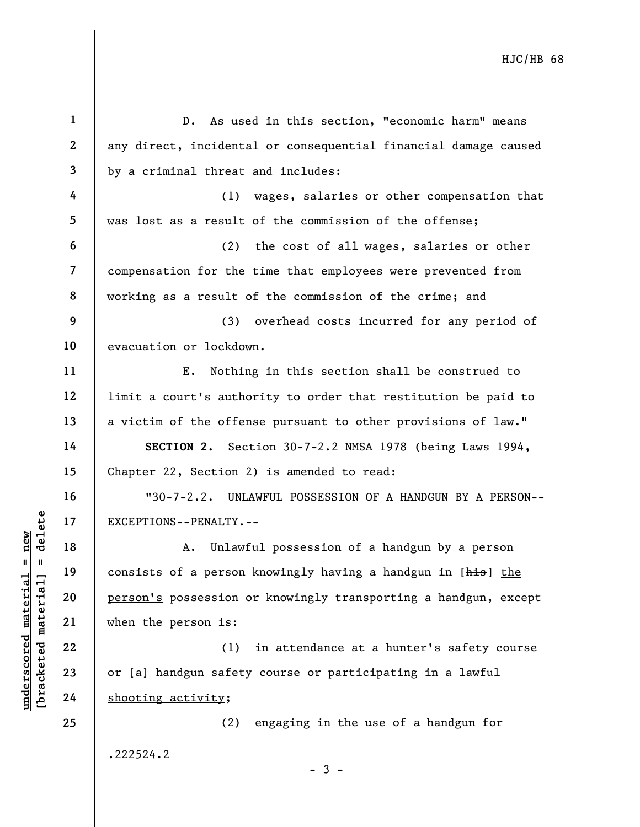underscored material = new [bracketed material] = delete 1 2 3 4 5 6 7 8 9 10 11 12 13 14 15 16 17 18 19 20 21 22 23 24 25 D. As used in this section, "economic harm" means any direct, incidental or consequential financial damage caused by a criminal threat and includes: (1) wages, salaries or other compensation that was lost as a result of the commission of the offense; (2) the cost of all wages, salaries or other compensation for the time that employees were prevented from working as a result of the commission of the crime; and (3) overhead costs incurred for any period of evacuation or lockdown. E. Nothing in this section shall be construed to limit a court's authority to order that restitution be paid to a victim of the offense pursuant to other provisions of law." SECTION 2. Section 30-7-2.2 NMSA 1978 (being Laws 1994, Chapter 22, Section 2) is amended to read: "30-7-2.2. UNLAWFUL POSSESSION OF A HANDGUN BY A PERSON-- EXCEPTIONS--PENALTY.-- A. Unlawful possession of a handgun by a person consists of a person knowingly having a handgun in [his] the person's possession or knowingly transporting a handgun, except when the person is: (1) in attendance at a hunter's safety course or [a] handgun safety course or participating in a lawful shooting activity; (2) engaging in the use of a handgun for .222524.2

 $-3 -$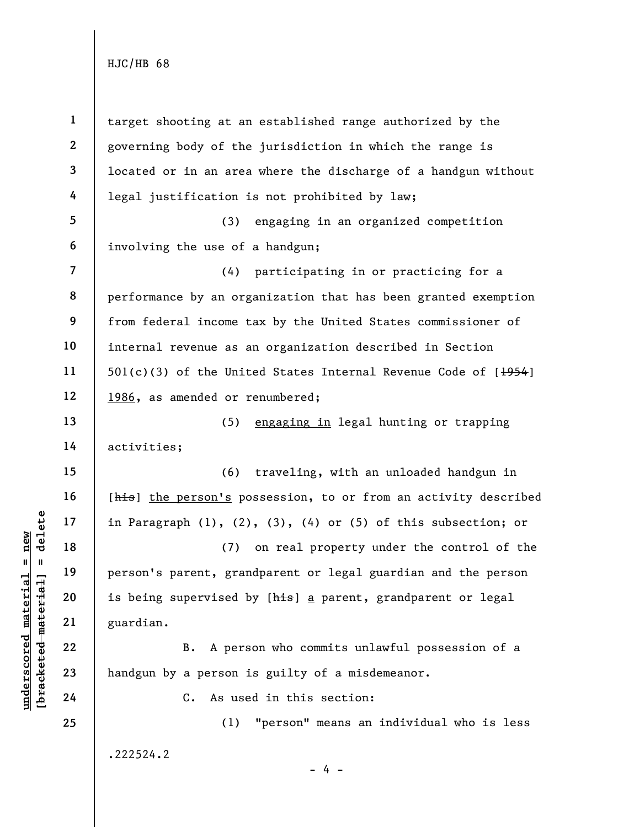underscored material material entity of the same of the same of the same of the same of the same of the same of the same of the same of the same of the same of the same of the same of the same of the same of the same of th 1 2 3 4 5 6 7 8 9 10 11 12 13 14 15 16 17 18 19 20 21 22 23 24 25 target shooting at an established range authorized by the governing body of the jurisdiction in which the range is located or in an area where the discharge of a handgun without legal justification is not prohibited by law; (3) engaging in an organized competition involving the use of a handgun; (4) participating in or practicing for a performance by an organization that has been granted exemption from federal income tax by the United States commissioner of internal revenue as an organization described in Section 501(c)(3) of the United States Internal Revenue Code of  $[\frac{1954}{195}]$ 1986, as amended or renumbered; (5) engaging in legal hunting or trapping activities; (6) traveling, with an unloaded handgun in [his] the person's possession, to or from an activity described in Paragraph (1), (2), (3), (4) or (5) of this subsection; or (7) on real property under the control of the person's parent, grandparent or legal guardian and the person is being supervised by [his] a parent, grandparent or legal guardian. B. A person who commits unlawful possession of a handgun by a person is guilty of a misdemeanor. C. As used in this section: (1) "person" means an individual who is less .222524.2

- 4 -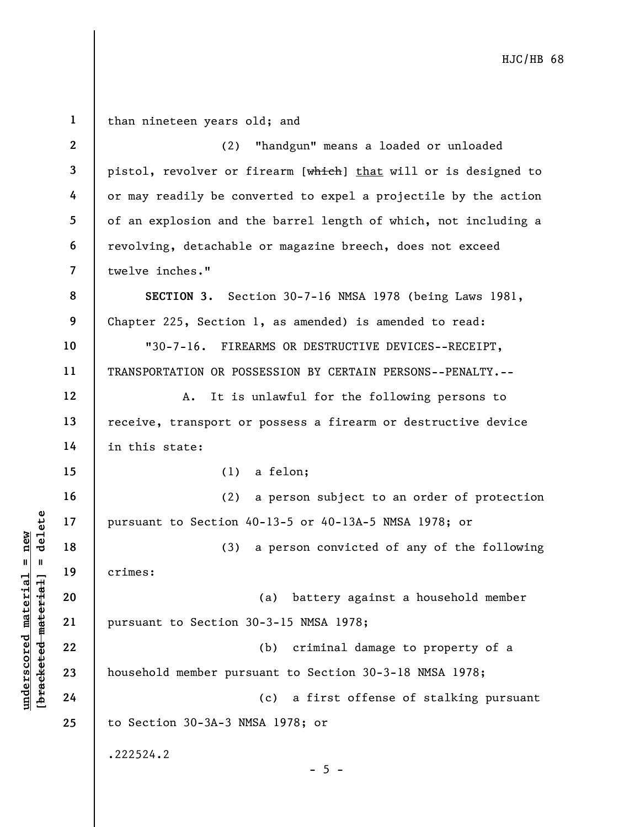| $\mathbf{1}$   | than nineteen years old; and                                    |  |  |
|----------------|-----------------------------------------------------------------|--|--|
| $\mathbf{2}$   | "handgun" means a loaded or unloaded<br>(2)                     |  |  |
| $\mathbf{3}$   | pistol, revolver or firearm [which] that will or is designed to |  |  |
| 4              | or may readily be converted to expel a projectile by the action |  |  |
| 5              | of an explosion and the barrel length of which, not including a |  |  |
| 6              | revolving, detachable or magazine breech, does not exceed       |  |  |
| $\overline{7}$ | twelve inches."                                                 |  |  |
| 8              | SECTION 3. Section 30-7-16 NMSA 1978 (being Laws 1981,          |  |  |
| 9              | Chapter 225, Section 1, as amended) is amended to read:         |  |  |
| 10             | "30-7-16. FIREARMS OR DESTRUCTIVE DEVICES--RECEIPT,             |  |  |
| 11             | TRANSPORTATION OR POSSESSION BY CERTAIN PERSONS--PENALTY.--     |  |  |
| 12             | It is unlawful for the following persons to<br>Α.               |  |  |
| 13             | receive, transport or possess a firearm or destructive device   |  |  |
| 14             | in this state:                                                  |  |  |
| 15             | $(1)$ a felon;                                                  |  |  |
| 16             | (2) a person subject to an order of protection                  |  |  |
| 17             | pursuant to Section 40-13-5 or 40-13A-5 NMSA 1978; or           |  |  |
| 18             | a person convicted of any of the following<br>(3)               |  |  |
| 19             | crimes:                                                         |  |  |
| 20             | (a) battery against a household member                          |  |  |
| 21             | pursuant to Section 30-3-15 NMSA 1978;                          |  |  |
| 22             | criminal damage to property of a<br>(b)                         |  |  |
| 23             | household member pursuant to Section 30-3-18 NMSA 1978;         |  |  |
| 24             | (c)<br>a first offense of stalking pursuant                     |  |  |
| 25             | to Section 30-3A-3 NMSA 1978; or                                |  |  |
|                | .222524.2<br>$-5 -$                                             |  |  |

 $\frac{\text{undersecond material} = \text{new}}{\text{beac detected} - \text{meter} \cdot \text{t} + \text{a}}$  = delete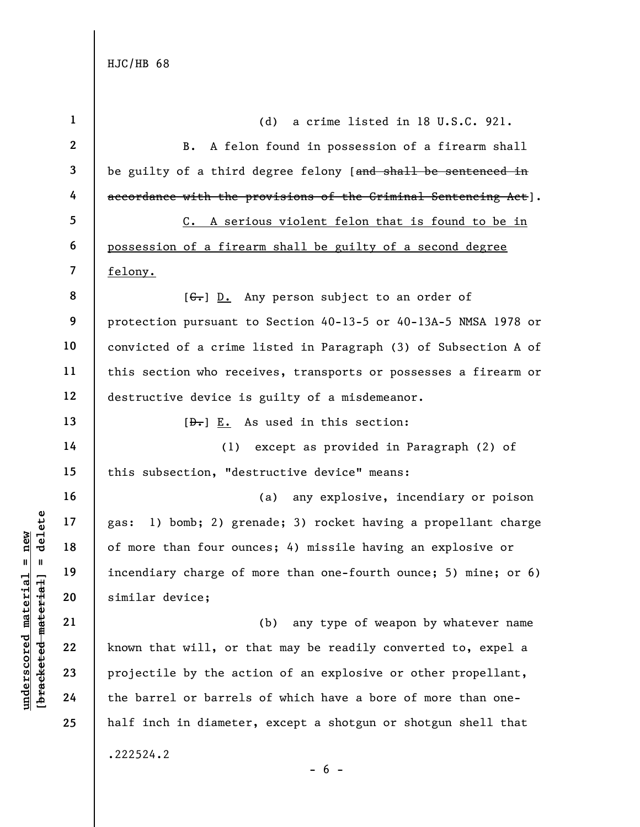understanding that will, or the barrel of the barrel of the barrels<br>
with the similar device;<br>
with the similar device;<br>
and the barrel or barrels<br>
and the barrel or barrels 1 2 3 4 5 6 7 8 9 10 11 12 13 14 15 16 17 18 19 20 21 22 23 24 25 (d) a crime listed in 18 U.S.C. 921. B. A felon found in possession of a firearm shall be guilty of a third degree felony [and shall be sentenced in accordance with the provisions of the Criminal Sentencing Act]. C. A serious violent felon that is found to be in possession of a firearm shall be guilty of a second degree felony. [ $C -$ ] D. Any person subject to an order of protection pursuant to Section 40-13-5 or 40-13A-5 NMSA 1978 or convicted of a crime listed in Paragraph (3) of Subsection A of this section who receives, transports or possesses a firearm or destructive device is guilty of a misdemeanor.  $[\frac{\theta}{\theta}]$  E. As used in this section: (1) except as provided in Paragraph (2) of this subsection, "destructive device" means: (a) any explosive, incendiary or poison gas: 1) bomb; 2) grenade; 3) rocket having a propellant charge of more than four ounces; 4) missile having an explosive or incendiary charge of more than one-fourth ounce; 5) mine; or 6) similar device; (b) any type of weapon by whatever name known that will, or that may be readily converted to, expel a projectile by the action of an explosive or other propellant, the barrel or barrels of which have a bore of more than onehalf inch in diameter, except a shotgun or shotgun shell that .222524.2

- 6 -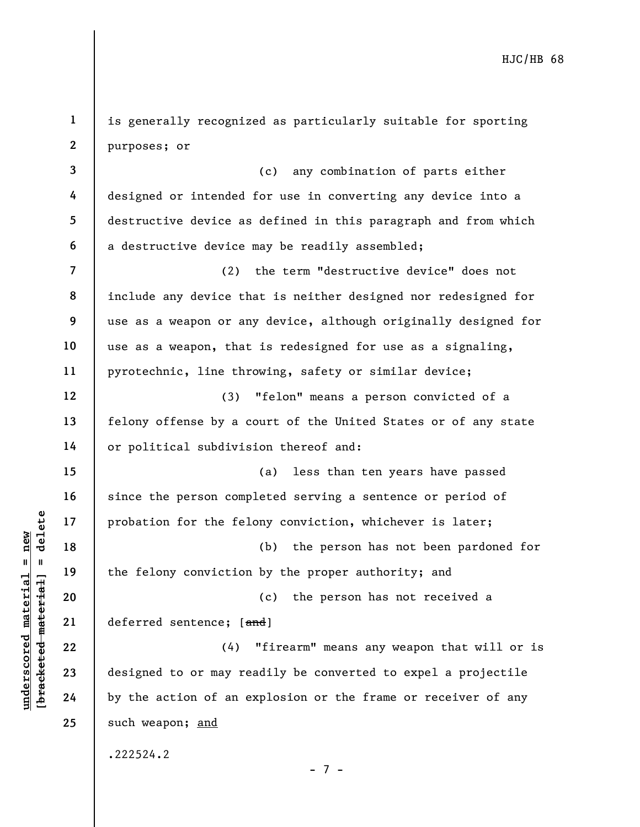1 2 is generally recognized as particularly suitable for sporting purposes; or

3 4 5 6 (c) any combination of parts either designed or intended for use in converting any device into a destructive device as defined in this paragraph and from which a destructive device may be readily assembled;

7 8 9 10 11 (2) the term "destructive device" does not include any device that is neither designed nor redesigned for use as a weapon or any device, although originally designed for use as a weapon, that is redesigned for use as a signaling, pyrotechnic, line throwing, safety or similar device;

(3) "felon" means a person convicted of a felony offense by a court of the United States or of any state or political subdivision thereof and:

(a) less than ten years have passed since the person completed serving a sentence or period of probation for the felony conviction, whichever is later;

(b) the person has not been pardoned for the felony conviction by the proper authority; and

20 21 (c) the person has not received a deferred sentence; [and]

understand material material probation for the fell<br>  $\begin{bmatrix}\n1 & 1 & 1 & 1 \\
0 & 1 & 1 & 1 & 1 \\
0 & 0 & 0 & 0 & 0 \\
0 & 0 & 0 & 0 & 0 \\
0 & 0 & 0 & 0 & 0 \\
0 & 0 & 0 & 0 & 0 \\
0 & 0 & 0 & 0 & 0 \\
0 & 0 & 0 & 0 & 0 \\
0 & 0 & 0 & 0 & 0 \\
0 & 0 & 0 & 0 & 0 \\
0 & 0 & 0 & 0 & 0 \\
0 & 0 & 0 & 0$ (4) "firearm" means any weapon that will or is designed to or may readily be converted to expel a projectile by the action of an explosion or the frame or receiver of any such weapon; and

.222524.2

- 7 -

12

13

14

15

16

17

18

19

22

23

24

25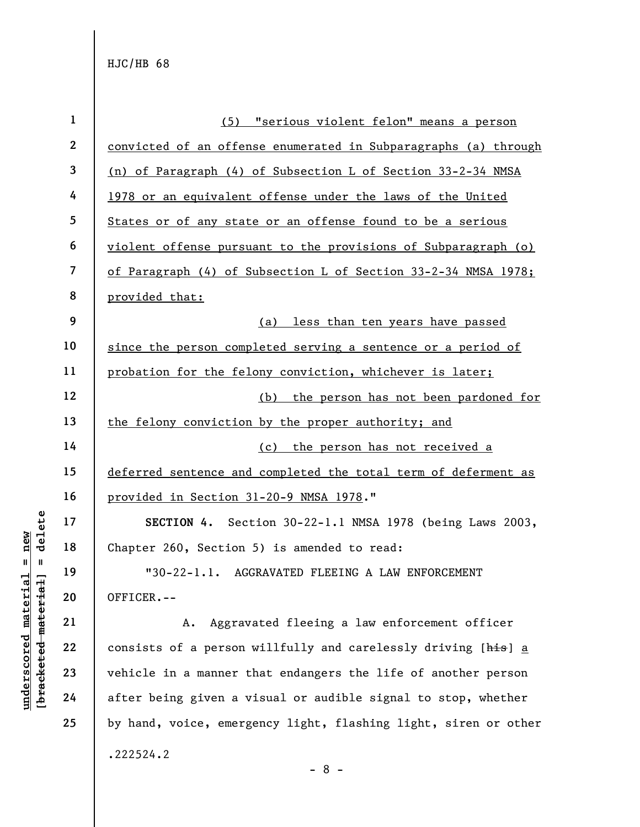| $\mathbf{1}$     | (5) "serious violent felon" means a person                      |  |  |
|------------------|-----------------------------------------------------------------|--|--|
| $\boldsymbol{2}$ | convicted of an offense enumerated in Subparagraphs (a) through |  |  |
| 3                | (n) of Paragraph (4) of Subsection L of Section 33-2-34 NMSA    |  |  |
| 4                | 1978 or an equivalent offense under the laws of the United      |  |  |
| 5                | States or of any state or an offense found to be a serious      |  |  |
| 6                | violent offense pursuant to the provisions of Subparagraph (o)  |  |  |
| 7                | of Paragraph (4) of Subsection L of Section 33-2-34 NMSA 1978;  |  |  |
| 8                | provided that:                                                  |  |  |
| 9                | (a) less than ten years have passed                             |  |  |
| 10               | since the person completed serving a sentence or a period of    |  |  |
| 11               | probation for the felony conviction, whichever is later;        |  |  |
| 12               | the person has not been pardoned for<br>(b)                     |  |  |
| 13               | the felony conviction by the proper authority; and              |  |  |
| 14               | (c) the person has not received a                               |  |  |
| 15               | deferred sentence and completed the total term of deferment as  |  |  |
| 16               | provided in Section 31-20-9 NMSA 1978."                         |  |  |
| 17               | SECTION 4. Section 30-22-1.1 NMSA 1978 (being Laws 2003,        |  |  |
| 18               | Chapter 260, Section 5) is amended to read:                     |  |  |
| 19               | "30-22-1.1. AGGRAVATED FLEEING A LAW ENFORCEMENT                |  |  |
| 20               | OFFICER.--                                                      |  |  |
| 21               | Aggravated fleeing a law enforcement officer<br>Α.              |  |  |
| 22               | consists of a person willfully and carelessly driving [his] a   |  |  |
| 23               | vehicle in a manner that endangers the life of another person   |  |  |
| 24               | after being given a visual or audible signal to stop, whether   |  |  |
| 25               | by hand, voice, emergency light, flashing light, siren or other |  |  |
|                  | .222524.2                                                       |  |  |

## $\frac{\text{underscored material = new}}{\text{beac detected-matter}+\text{d}}$  = delete

- 8 -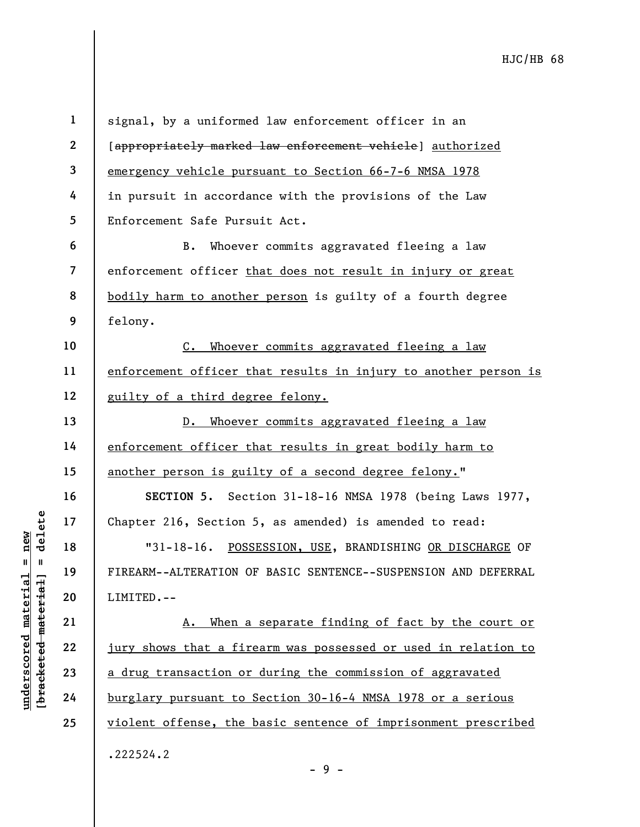underscored material = new [bracketed material] = delete 1 2 3 4 5 6 7 8 9 10 11 12 13 14 15 16 17 18 19 20 21 22 23 24 25 signal, by a uniformed law enforcement officer in an [appropriately marked law enforcement vehicle] authorized emergency vehicle pursuant to Section 66-7-6 NMSA 1978 in pursuit in accordance with the provisions of the Law Enforcement Safe Pursuit Act. B. Whoever commits aggravated fleeing a law enforcement officer that does not result in injury or great bodily harm to another person is guilty of a fourth degree felony. C. Whoever commits aggravated fleeing a law enforcement officer that results in injury to another person is guilty of a third degree felony. D. Whoever commits aggravated fleeing a law enforcement officer that results in great bodily harm to another person is guilty of a second degree felony." SECTION 5. Section 31-18-16 NMSA 1978 (being Laws 1977, Chapter 216, Section 5, as amended) is amended to read: "31-18-16. POSSESSION, USE, BRANDISHING OR DISCHARGE OF FIREARM--ALTERATION OF BASIC SENTENCE--SUSPENSION AND DEFERRAL LIMITED.-- A. When a separate finding of fact by the court or jury shows that a firearm was possessed or used in relation to a drug transaction or during the commission of aggravated burglary pursuant to Section 30-16-4 NMSA 1978 or a serious violent offense, the basic sentence of imprisonment prescribed .222524.2

 $-9 -$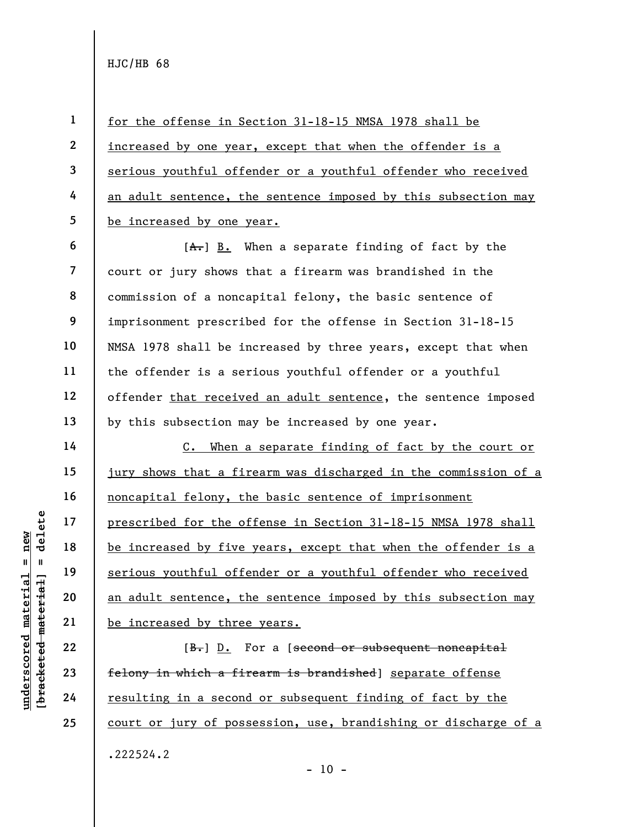1

2

3

4

5

6

14

15

16

17

18

19

20

21

22

23

24

25

for the offense in Section 31-18-15 NMSA 1978 shall be increased by one year, except that when the offender is a serious youthful offender or a youthful offender who received an adult sentence, the sentence imposed by this subsection may be increased by one year.

7 8 9 10 11 12 13  $[A,-]$  B. When a separate finding of fact by the court or jury shows that a firearm was brandished in the commission of a noncapital felony, the basic sentence of imprisonment prescribed for the offense in Section 31-18-15 NMSA 1978 shall be increased by three years, except that when the offender is a serious youthful offender or a youthful offender that received an adult sentence, the sentence imposed by this subsection may be increased by one year.

underscored material = new [bracketed material] = delete C. When a separate finding of fact by the court or jury shows that a firearm was discharged in the commission of a noncapital felony, the basic sentence of imprisonment prescribed for the offense in Section 31-18-15 NMSA 1978 shall be increased by five years, except that when the offender is a serious youthful offender or a youthful offender who received an adult sentence, the sentence imposed by this subsection may be increased by three years.

[B.] D. For a [second or subsequent noncapital felony in which a firearm is brandished] separate offense resulting in a second or subsequent finding of fact by the court or jury of possession, use, brandishing or discharge of a .222524.2

 $- 10 -$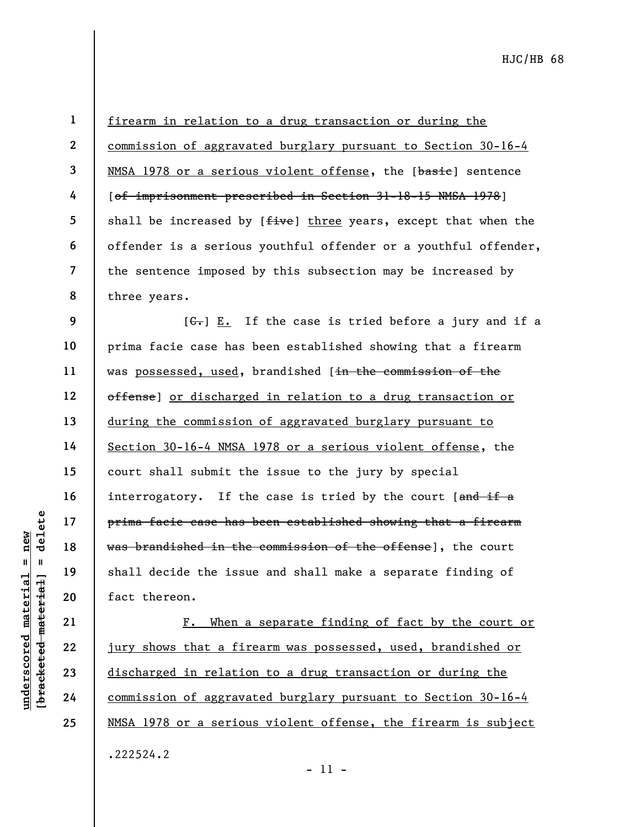21

22

23

24

25

1 2 3 4 5 6 7 8 firearm in relation to a drug transaction or during the commission of aggravated burglary pursuant to Section 30-16-4 NMSA 1978 or a serious violent offense, the [basie] sentence [of imprisonment prescribed in Section 31-18-15 NMSA 1978] shall be increased by [five] three years, except that when the offender is a serious youthful offender or a youthful offender, the sentence imposed by this subsection may be increased by three years.

understand material extends the set of the results of the set of the set of the set of the set of the set of the set of the set of the set of the set of the set of the set of the set of the set of the set of the set of the 9 10 11 12 13 14 15 16 17 18 19 20  $[G_r]$  E. If the case is tried before a jury and if a prima facie case has been established showing that a firearm was possessed, used, brandished [in the commission of the offense] or discharged in relation to a drug transaction or during the commission of aggravated burglary pursuant to Section 30-16-4 NMSA 1978 or a serious violent offense, the court shall submit the issue to the jury by special interrogatory. If the case is tried by the court [and if a prima facie case has been established showing that a firearm was brandished in the commission of the offense], the court shall decide the issue and shall make a separate finding of fact thereon.

F. When a separate finding of fact by the court or jury shows that a firearm was possessed, used, brandished or discharged in relation to a drug transaction or during the commission of aggravated burglary pursuant to Section 30-16-4 NMSA 1978 or a serious violent offense, the firearm is subject .222524.2

- 11 -